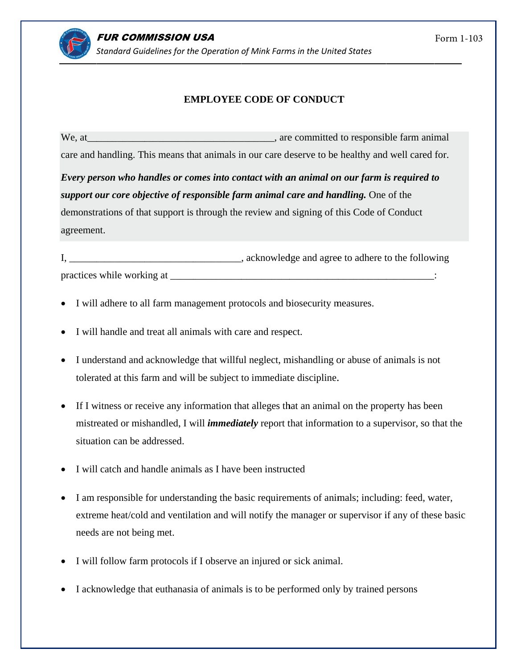## **EMPLOYEE CODE OF CONDUCT**

We, at \_\_\_\_\_\_\_\_\_\_\_, are committed to responsible farm animal care and handling. This means that animals in our care deserve to be healthy and well cared for.

Every person who handles or comes into contact with an animal on our farm is required to support our core objective of responsible farm animal care and handling. One of the demonstrations of that support is through the review and signing of this Code of Conduct agreement.

I, acknowledge and agree to adhere to the following practices while working at the same state of the state of the state of the state of the state of the state of the state of the state of the state of the state of the state of the state of the state of the state of the stat

- I will adhere to all farm management protocols and biosecurity measures.
- I will handle and treat all animals with care and respect.
- I understand and acknowledge that willful neglect, mishandling or abuse of animals is not tolerated at this farm and will be subject to immediate discipline.
- If I witness or receive any information that alleges that an animal on the property has been mistreated or mishandled, I will *immediately* report that information to a supervisor, so that the situation can be addressed.
- I will catch and handle animals as I have been instructed
- I am responsible for understanding the basic requirements of animals; including: feed, water, extreme heat/cold and ventilation and will notify the manager or supervisor if any of these basic needs are not being met.
- I will follow farm protocols if I observe an injured or sick animal.
- I acknowledge that euthanasia of animals is to be performed only by trained persons